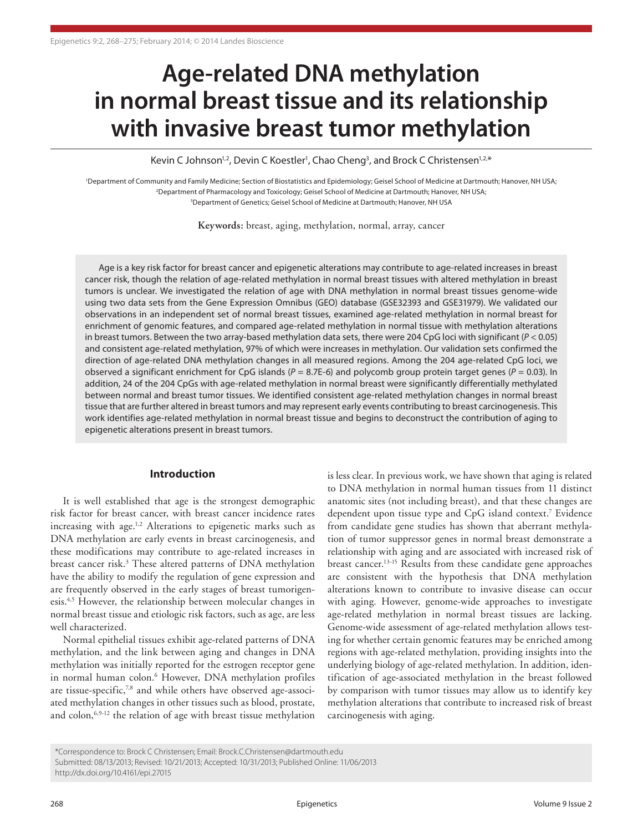# **Age-related DNA methylation in normal breast tissue and its relationship with invasive breast tumor methylation**

Kevin C Johnson<sup>1,2</sup>, Devin C Koestler<sup>1</sup>, Chao Cheng<sup>3</sup>, and Brock C Christensen<sup>1,2,\*</sup>

<sup>1</sup>Department of Community and Family Medicine; Section of Biostatistics and Epidemiology; Geisel School of Medicine at Dartmouth; Hanover, NH USA; 2 Department of Pharmacology and Toxicology; Geisel School of Medicine at Dartmouth; Hanover, NH USA; <sup>3</sup>Department of Genetics; Geisel School of Medicine at Dartmouth; Hanover, NH US.

**Keywords:** breast, aging, methylation, normal, array, cancer

Age is a key risk factor for breast cancer and epigenetic alterations may contribute to age-related increases in breast cancer risk, though the relation of age-related methylation in normal breast tissues with altered methylation in breast tumors is unclear. We investigated the relation of age with DNA methylation in normal breast tissues genome-wide using two data sets from the Gene Expression Omnibus (GEO) database (GSE32393 and GSE31979). We validated our observations in an independent set of normal breast tissues, examined age-related methylation in normal breast for enrichment of genomic features, and compared age-related methylation in normal tissue with methylation alterations in breast tumors. Between the two array-based methylation data sets, there were 204 CpG loci with significant (*P* < 0.05) and consistent age-related methylation, 97% of which were increases in methylation. Our validation sets confirmed the direction of age-related DNA methylation changes in all measured regions. Among the 204 age-related CpG loci, we observed a significant enrichment for CpG islands (*P* = 8.7E-6) and polycomb group protein target genes (*P* = 0.03). In addition, 24 of the 204 CpGs with age-related methylation in normal breast were significantly differentially methylated between normal and breast tumor tissues. We identified consistent age-related methylation changes in normal breast tissue that are further altered in breast tumors and may represent early events contributing to breast carcinogenesis. This work identifies age-related methylation in normal breast tissue and begins to deconstruct the contribution of aging to epigenetic alterations present in breast tumors.

# **Introduction**

It is well established that age is the strongest demographic risk factor for breast cancer, with breast cancer incidence rates increasing with age.<sup>1,2</sup> Alterations to epigenetic marks such as DNA methylation are early events in breast carcinogenesis, and these modifications may contribute to age-related increases in breast cancer risk.3 These altered patterns of DNA methylation have the ability to modify the regulation of gene expression and are frequently observed in the early stages of breast tumorigenesis.4,5 However, the relationship between molecular changes in normal breast tissue and etiologic risk factors, such as age, are less well characterized.

Normal epithelial tissues exhibit age-related patterns of DNA methylation, and the link between aging and changes in DNA methylation was initially reported for the estrogen receptor gene in normal human colon.<sup>6</sup> However, DNA methylation profiles are tissue-specific, $78$  and while others have observed age-associated methylation changes in other tissues such as blood, prostate, and colon,<sup>6,9-12</sup> the relation of age with breast tissue methylation

is less clear. In previous work, we have shown that aging is related to DNA methylation in normal human tissues from 11 distinct anatomic sites (not including breast), and that these changes are dependent upon tissue type and CpG island context.7 Evidence from candidate gene studies has shown that aberrant methylation of tumor suppressor genes in normal breast demonstrate a relationship with aging and are associated with increased risk of breast cancer.13-15 Results from these candidate gene approaches are consistent with the hypothesis that DNA methylation alterations known to contribute to invasive disease can occur with aging. However, genome-wide approaches to investigate age-related methylation in normal breast tissues are lacking. Genome-wide assessment of age-related methylation allows testing for whether certain genomic features may be enriched among regions with age-related methylation, providing insights into the underlying biology of age-related methylation. In addition, identification of age-associated methylation in the breast followed by comparison with tumor tissues may allow us to identify key methylation alterations that contribute to increased risk of breast carcinogenesis with aging.

<sup>\*</sup>Correspondence to: Brock C Christensen; Email: Brock.C.Christensen@dartmouth.edu Submitted: 08/13/2013; Revised: 10/21/2013; Accepted: 10/31/2013; Published Online: 11/06/2013 http://dx.doi.org/10.4161/epi.27015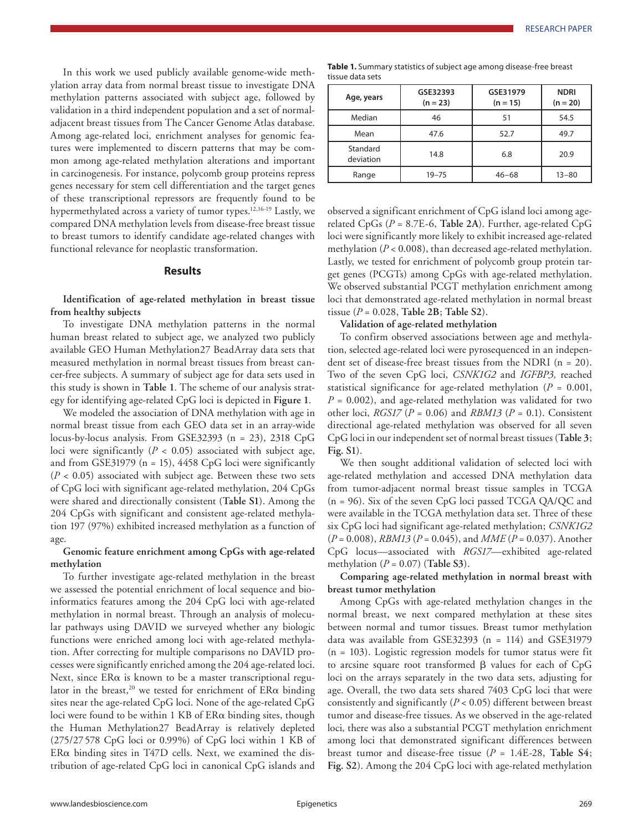In this work we used publicly available genome-wide methylation array data from normal breast tissue to investigate DNA methylation patterns associated with subject age, followed by validation in a third independent population and a set of normaladjacent breast tissues from The Cancer Genome Atlas database. Among age-related loci, enrichment analyses for genomic features were implemented to discern patterns that may be common among age-related methylation alterations and important in carcinogenesis. For instance, polycomb group proteins repress genes necessary for stem cell differentiation and the target genes of these transcriptional repressors are frequently found to be hypermethylated across a variety of tumor types.<sup>12,16-19</sup> Lastly, we compared DNA methylation levels from disease-free breast tissue to breast tumors to identify candidate age-related changes with functional relevance for neoplastic transformation.

## **Results**

**Identification of age-related methylation in breast tissue from healthy subjects**

To investigate DNA methylation patterns in the normal human breast related to subject age, we analyzed two publicly available GEO Human Methylation27 BeadArray data sets that measured methylation in normal breast tissues from breast cancer-free subjects. A summary of subject age for data sets used in this study is shown in **Table 1**. The scheme of our analysis strategy for identifying age-related CpG loci is depicted in **Figure 1**.

We modeled the association of DNA methylation with age in normal breast tissue from each GEO data set in an array-wide locus-by-locus analysis. From GSE32393 (n = 23), 2318 CpG loci were significantly  $(P < 0.05)$  associated with subject age, and from GSE31979 ( $n = 15$ ), 4458 CpG loci were significantly  $(P < 0.05)$  associated with subject age. Between these two sets of CpG loci with significant age-related methylation, 204 CpGs were shared and directionally consistent (**Table S1**). Among the 204 CpGs with significant and consistent age-related methylation 197 (97%) exhibited increased methylation as a function of age.

# **Genomic feature enrichment among CpGs with age-related methylation**

To further investigate age-related methylation in the breast we assessed the potential enrichment of local sequence and bioinformatics features among the 204 CpG loci with age-related methylation in normal breast. Through an analysis of molecular pathways using DAVID we surveyed whether any biologic functions were enriched among loci with age-related methylation. After correcting for multiple comparisons no DAVID processes were significantly enriched among the 204 age-related loci. Next, since  $ER\alpha$  is known to be a master transcriptional regulator in the breast,<sup>20</sup> we tested for enrichment of  $ER\alpha$  binding sites near the age-related CpG loci. None of the age-related CpG loci were found to be within 1 KB of ERα binding sites, though the Human Methylation27 BeadArray is relatively depleted (275/27 578 CpG loci or 0.99%) of CpG loci within 1 KB of ERα binding sites in T47D cells. Next, we examined the distribution of age-related CpG loci in canonical CpG islands and

| Table 1. Summary statistics of subject age among disease-free breast |  |
|----------------------------------------------------------------------|--|
| tissue data sets                                                     |  |

| Age, years            | GSE32393<br>$(n = 23)$ | GSE31979<br>$(n = 15)$ | <b>NDRI</b><br>$(n = 20)$ |  |
|-----------------------|------------------------|------------------------|---------------------------|--|
| Median                | 46                     | 51                     | 54.5                      |  |
| Mean                  | 47.6                   | 52.7                   | 49.7                      |  |
| Standard<br>deviation | 14.8                   | 6.8                    | 20.9                      |  |
| Range                 | $19 - 75$              | $46 - 68$              | $13 - 80$                 |  |

observed a significant enrichment of CpG island loci among agerelated CpGs (*P* = 8.7E-6, **Table 2A**). Further, age-related CpG loci were significantly more likely to exhibit increased age-related methylation (*P* < 0.008), than decreased age-related methylation. Lastly, we tested for enrichment of polycomb group protein target genes (PCGTs) among CpGs with age-related methylation. We observed substantial PCGT methylation enrichment among loci that demonstrated age-related methylation in normal breast tissue (*P* = 0.028, **Table 2B**; **Table S2**).

**Validation of age-related methylation**

To confirm observed associations between age and methylation, selected age-related loci were pyrosequenced in an independent set of disease-free breast tissues from the NDRI (n = 20). Two of the seven CpG loci, *CSNK1G2* and *IGFBP3,* reached statistical significance for age-related methylation (*P* = 0.001, *P* = 0.002), and age-related methylation was validated for two other loci, *RGS17* (*P* = 0.06) and *RBM13* (*P* = 0.1). Consistent directional age-related methylation was observed for all seven CpG loci in our independent set of normal breast tissues (**Table 3**; **Fig. S1**).

We then sought additional validation of selected loci with age-related methylation and accessed DNA methylation data from tumor-adjacent normal breast tissue samples in TCGA (n = 96). Six of the seven CpG loci passed TCGA QA/QC and were available in the TCGA methylation data set. Three of these six CpG loci had significant age-related methylation; *CSNK1G2* (*P* = 0.008), *RBM13* (*P* = 0.045), and *MME* (*P* = 0.037). Another CpG locus—associated with *RGS17*—exhibited age-related methylation (*P* = 0.07) (**Table S3**).

**Comparing age-related methylation in normal breast with breast tumor methylation**

Among CpGs with age-related methylation changes in the normal breast, we next compared methylation at these sites between normal and tumor tissues. Breast tumor methylation data was available from GSE32393  $(n = 114)$  and GSE31979 (n = 103). Logistic regression models for tumor status were fit to arcsine square root transformed β values for each of CpG loci on the arrays separately in the two data sets, adjusting for age. Overall, the two data sets shared 7403 CpG loci that were consistently and significantly (*P* < 0.05) different between breast tumor and disease-free tissues. As we observed in the age-related loci, there was also a substantial PCGT methylation enrichment among loci that demonstrated significant differences between breast tumor and disease-free tissue (*P* = 1.4E-28, **Table S4**; **Fig. S2**). Among the 204 CpG loci with age-related methylation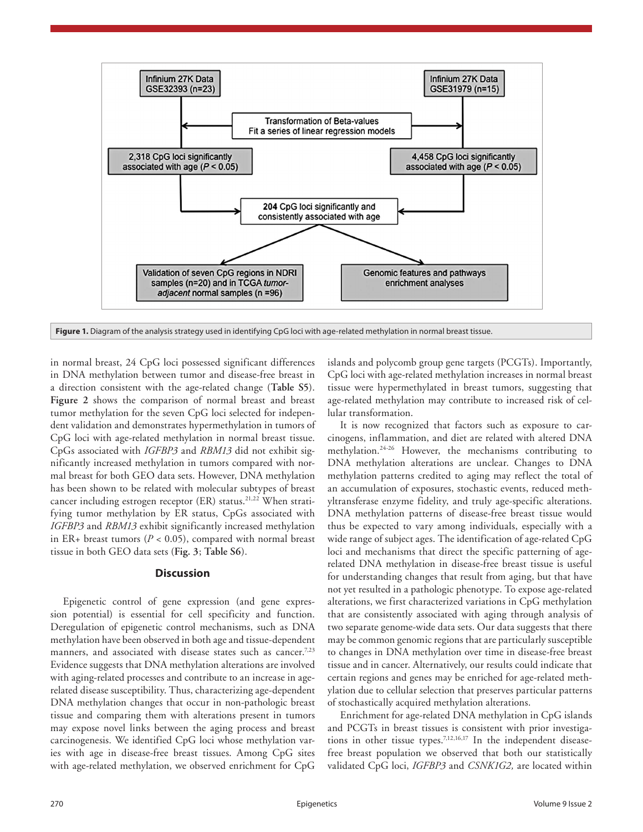

**Figure 1.** Diagram of the analysis strategy used in identifying CpG loci with age-related methylation in normal breast tissue.

in normal breast, 24 CpG loci possessed significant differences in DNA methylation between tumor and disease-free breast in a direction consistent with the age-related change (**Table S5**). **Figure 2** shows the comparison of normal breast and breast tumor methylation for the seven CpG loci selected for independent validation and demonstrates hypermethylation in tumors of CpG loci with age-related methylation in normal breast tissue. CpGs associated with *IGFBP3* and *RBM13* did not exhibit significantly increased methylation in tumors compared with normal breast for both GEO data sets. However, DNA methylation has been shown to be related with molecular subtypes of breast cancer including estrogen receptor (ER) status.<sup>21,22</sup> When stratifying tumor methylation by ER status, CpGs associated with *IGFBP3* and *RBM13* exhibit significantly increased methylation in ER+ breast tumors ( $P < 0.05$ ), compared with normal breast tissue in both GEO data sets (**Fig. 3**; **Table S6**).

# **Discussion**

Epigenetic control of gene expression (and gene expression potential) is essential for cell specificity and function. Deregulation of epigenetic control mechanisms, such as DNA methylation have been observed in both age and tissue-dependent manners, and associated with disease states such as cancer.<sup>7,23</sup> Evidence suggests that DNA methylation alterations are involved with aging-related processes and contribute to an increase in agerelated disease susceptibility. Thus, characterizing age-dependent DNA methylation changes that occur in non-pathologic breast tissue and comparing them with alterations present in tumors may expose novel links between the aging process and breast carcinogenesis. We identified CpG loci whose methylation varies with age in disease-free breast tissues. Among CpG sites with age-related methylation, we observed enrichment for CpG islands and polycomb group gene targets (PCGTs). Importantly, CpG loci with age-related methylation increases in normal breast tissue were hypermethylated in breast tumors, suggesting that age-related methylation may contribute to increased risk of cellular transformation.

It is now recognized that factors such as exposure to carcinogens, inflammation, and diet are related with altered DNA methylation.24-26 However, the mechanisms contributing to DNA methylation alterations are unclear. Changes to DNA methylation patterns credited to aging may reflect the total of an accumulation of exposures, stochastic events, reduced methyltransferase enzyme fidelity, and truly age-specific alterations. DNA methylation patterns of disease-free breast tissue would thus be expected to vary among individuals, especially with a wide range of subject ages. The identification of age-related CpG loci and mechanisms that direct the specific patterning of agerelated DNA methylation in disease-free breast tissue is useful for understanding changes that result from aging, but that have not yet resulted in a pathologic phenotype. To expose age-related alterations, we first characterized variations in CpG methylation that are consistently associated with aging through analysis of two separate genome-wide data sets. Our data suggests that there may be common genomic regions that are particularly susceptible to changes in DNA methylation over time in disease-free breast tissue and in cancer. Alternatively, our results could indicate that certain regions and genes may be enriched for age-related methylation due to cellular selection that preserves particular patterns of stochastically acquired methylation alterations.

Enrichment for age-related DNA methylation in CpG islands and PCGTs in breast tissues is consistent with prior investigations in other tissue types.7,12,16,17 In the independent diseasefree breast population we observed that both our statistically validated CpG loci, *IGFBP3* and *CSNK1G2,* are located within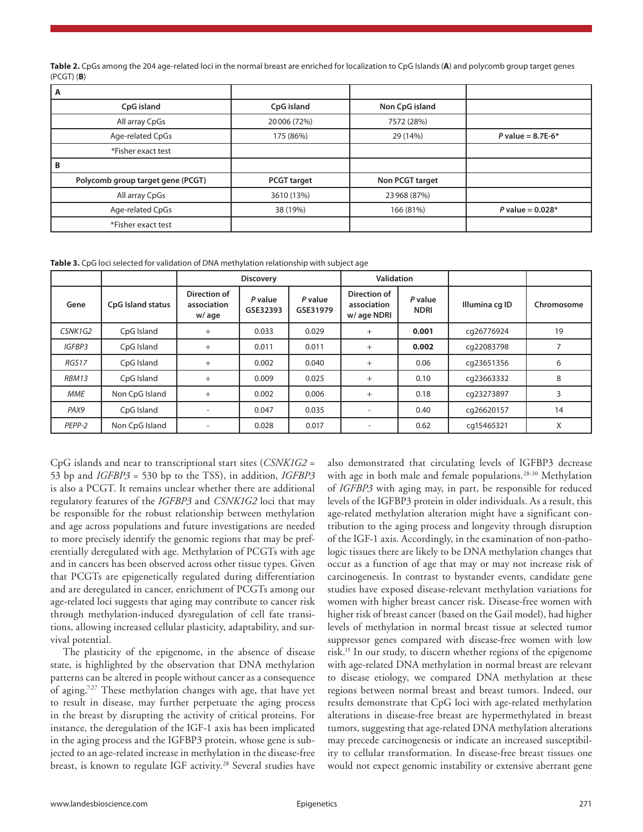**Table 2.** CpGs among the 204 age-related loci in the normal breast are enriched for localization to CpG Islands (**A**) and polycomb group target genes (PCGT) (**B**)

| A                                 |                    |                 |                     |  |  |
|-----------------------------------|--------------------|-----------------|---------------------|--|--|
| CpG island                        | CpG island         | Non CpG island  |                     |  |  |
| All array CpGs                    | 20 006 (72%)       | 7572 (28%)      |                     |  |  |
| Age-related CpGs                  | 175 (86%)          | 29 (14%)        | P value = $8.7E-6*$ |  |  |
| *Fisher exact test                |                    |                 |                     |  |  |
| В                                 |                    |                 |                     |  |  |
| Polycomb group target gene (PCGT) | <b>PCGT</b> target | Non PCGT target |                     |  |  |
| All array CpGs                    | 3610 (13%)         | 23 968 (87%)    |                     |  |  |
| Age-related CpGs<br>38 (19%)      |                    | 166 (81%)       | P value = $0.028*$  |  |  |
| *Fisher exact test                |                    |                 |                     |  |  |

**Table 3.** CpG loci selected for validation of DNA methylation relationship with subject age

|               |                          | <b>Discovery</b>                     |                     | <b>Validation</b>   |                                           |                        |                |            |
|---------------|--------------------------|--------------------------------------|---------------------|---------------------|-------------------------------------------|------------------------|----------------|------------|
| Gene          | <b>CpG Island status</b> | Direction of<br>association<br>w/age | P value<br>GSE32393 | P value<br>GSE31979 | Direction of<br>association<br>w/age NDRI | P value<br><b>NDRI</b> | Illumina cg ID | Chromosome |
| CSNK1G2       | CpG Island               | $^{+}$                               | 0.033               | 0.029               | $^{+}$                                    | 0.001                  | cq26776924     | 19         |
| <b>IGFBP3</b> | CpG Island               | $+$                                  | 0.011               | 0.011               | $+$                                       | 0.002                  | cq22083798     |            |
| RGS17         | CpG Island               | $^{+}$                               | 0.002               | 0.040               | $^{+}$                                    | 0.06                   | cq23651356     | 6          |
| <b>RBM13</b>  | CpG Island               | $^{+}$                               | 0.009               | 0.025               | $+$                                       | 0.10                   | cq23663332     | 8          |
| <b>MME</b>    | Non CpG Island           | $+$                                  | 0.002               | 0.006               | $+$                                       | 0.18                   | cq23273897     |            |
| PAX9          | CpG Island               |                                      | 0.047               | 0.035               |                                           | 0.40                   | cq26620157     | 14         |
| PEPP-2        | Non CpG Island           |                                      | 0.028               | 0.017               |                                           | 0.62                   | cq15465321     | X          |

CpG islands and near to transcriptional start sites (*CSNK1G2* = 53 bp and *IGFBP3* = 530 bp to the TSS), in addition, *IGFBP3* is also a PCGT. It remains unclear whether there are additional regulatory features of the *IGFBP3* and *CSNK1G2* loci that may be responsible for the robust relationship between methylation and age across populations and future investigations are needed to more precisely identify the genomic regions that may be preferentially deregulated with age. Methylation of PCGTs with age and in cancers has been observed across other tissue types. Given that PCGTs are epigenetically regulated during differentiation and are deregulated in cancer, enrichment of PCGTs among our age-related loci suggests that aging may contribute to cancer risk through methylation-induced dysregulation of cell fate transitions, allowing increased cellular plasticity, adaptability, and survival potential.

The plasticity of the epigenome, in the absence of disease state, is highlighted by the observation that DNA methylation patterns can be altered in people without cancer as a consequence of aging.7,27 These methylation changes with age, that have yet to result in disease, may further perpetuate the aging process in the breast by disrupting the activity of critical proteins. For instance, the deregulation of the IGF-1 axis has been implicated in the aging process and the IGFBP3 protein, whose gene is subjected to an age-related increase in methylation in the disease-free breast, is known to regulate IGF activity.<sup>28</sup> Several studies have also demonstrated that circulating levels of IGFBP3 decrease with age in both male and female populations.<sup>28-30</sup> Methylation of *IGFBP3* with aging may, in part, be responsible for reduced levels of the IGFBP3 protein in older individuals. As a result, this age-related methylation alteration might have a significant contribution to the aging process and longevity through disruption of the IGF-1 axis. Accordingly, in the examination of non-pathologic tissues there are likely to be DNA methylation changes that occur as a function of age that may or may not increase risk of carcinogenesis. In contrast to bystander events, candidate gene studies have exposed disease-relevant methylation variations for women with higher breast cancer risk. Disease-free women with higher risk of breast cancer (based on the Gail model), had higher levels of methylation in normal breast tissue at selected tumor suppressor genes compared with disease-free women with low risk.15 In our study, to discern whether regions of the epigenome with age-related DNA methylation in normal breast are relevant to disease etiology, we compared DNA methylation at these regions between normal breast and breast tumors. Indeed, our results demonstrate that CpG loci with age-related methylation alterations in disease-free breast are hypermethylated in breast tumors, suggesting that age-related DNA methylation alterations may precede carcinogenesis or indicate an increased susceptibility to cellular transformation. In disease-free breast tissues one would not expect genomic instability or extensive aberrant gene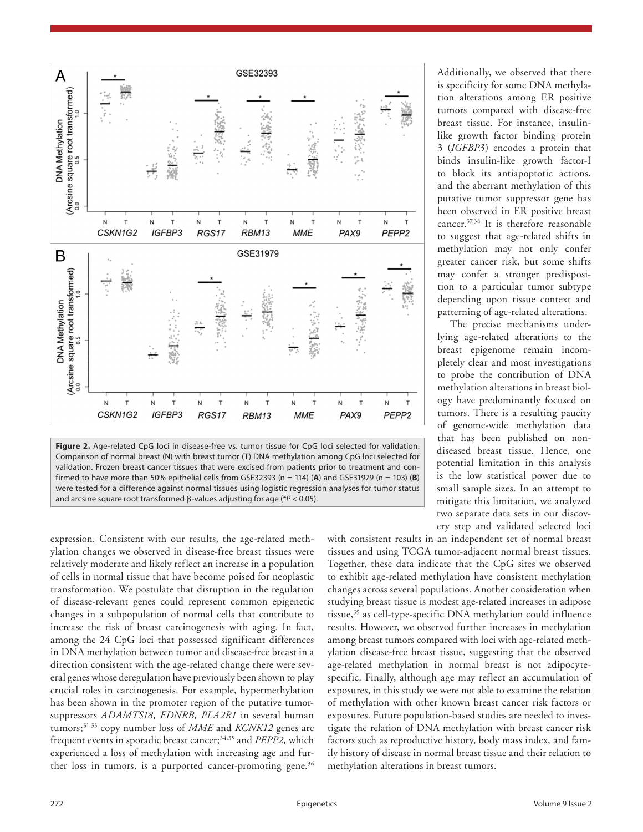

firmed to have more than 50% epithelial cells from GSE32393 (n = 114) (**A**) and GSE31979 (n = 103) (**B**) were tested for a difference against normal tissues using logistic regression analyses for tumor status and arcsine square root transformed β-values adjusting for age (\**P* < 0.05).

expression. Consistent with our results, the age-related methylation changes we observed in disease-free breast tissues were relatively moderate and likely reflect an increase in a population of cells in normal tissue that have become poised for neoplastic transformation. We postulate that disruption in the regulation of disease-relevant genes could represent common epigenetic changes in a subpopulation of normal cells that contribute to increase the risk of breast carcinogenesis with aging. In fact, among the 24 CpG loci that possessed significant differences in DNA methylation between tumor and disease-free breast in a direction consistent with the age-related change there were several genes whose deregulation have previously been shown to play crucial roles in carcinogenesis. For example, hypermethylation has been shown in the promoter region of the putative tumorsuppressors *ADAMTS18, EDNRB, PLA2R1* in several human tumors;31-33 copy number loss of *MME* and *KCNK12* genes are frequent events in sporadic breast cancer;34,35 and *PEPP2,* which experienced a loss of methylation with increasing age and further loss in tumors, is a purported cancer-promoting gene.<sup>36</sup>

Additionally, we observed that there is specificity for some DNA methylation alterations among ER positive tumors compared with disease-free breast tissue. For instance, insulinlike growth factor binding protein 3 (*IGFBP3*) encodes a protein that binds insulin-like growth factor-I to block its antiapoptotic actions, and the aberrant methylation of this putative tumor suppressor gene has been observed in ER positive breast cancer.37,38 It is therefore reasonable to suggest that age-related shifts in methylation may not only confer greater cancer risk, but some shifts may confer a stronger predisposition to a particular tumor subtype depending upon tissue context and patterning of age-related alterations.

The precise mechanisms underlying age-related alterations to the breast epigenome remain incompletely clear and most investigations to probe the contribution of DNA methylation alterations in breast biology have predominantly focused on tumors. There is a resulting paucity of genome-wide methylation data that has been published on nondiseased breast tissue. Hence, one potential limitation in this analysis is the low statistical power due to small sample sizes. In an attempt to mitigate this limitation, we analyzed two separate data sets in our discovery step and validated selected loci

with consistent results in an independent set of normal breast tissues and using TCGA tumor-adjacent normal breast tissues. Together, these data indicate that the CpG sites we observed to exhibit age-related methylation have consistent methylation changes across several populations. Another consideration when studying breast tissue is modest age-related increases in adipose tissue,<sup>39</sup> as cell-type-specific DNA methylation could influence results. However, we observed further increases in methylation among breast tumors compared with loci with age-related methylation disease-free breast tissue, suggesting that the observed age-related methylation in normal breast is not adipocytespecific. Finally, although age may reflect an accumulation of exposures, in this study we were not able to examine the relation of methylation with other known breast cancer risk factors or exposures. Future population-based studies are needed to investigate the relation of DNA methylation with breast cancer risk factors such as reproductive history, body mass index, and family history of disease in normal breast tissue and their relation to methylation alterations in breast tumors.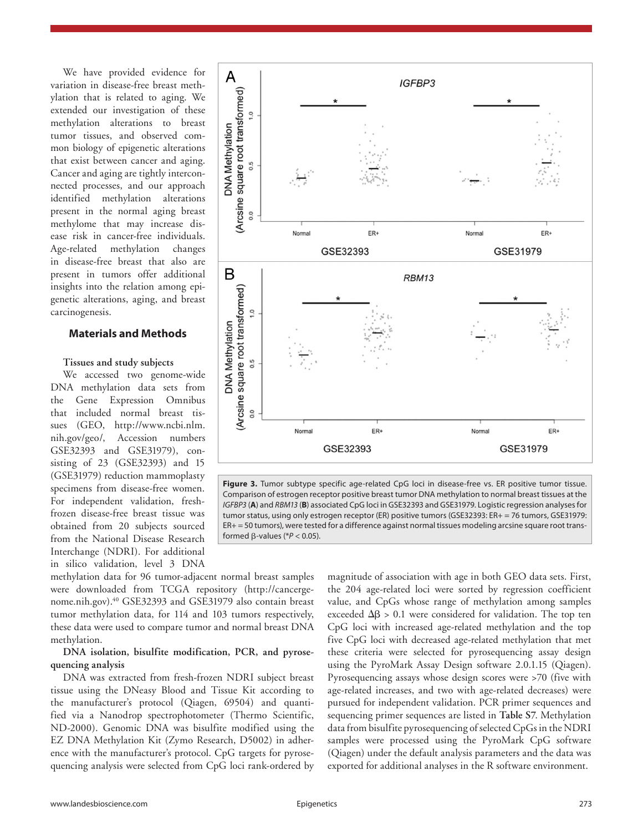We have provided evidence for variation in disease-free breast methylation that is related to aging. We extended our investigation of these methylation alterations to breast tumor tissues, and observed common biology of epigenetic alterations that exist between cancer and aging. Cancer and aging are tightly interconnected processes, and our approach identified methylation alterations present in the normal aging breast methylome that may increase disease risk in cancer-free individuals. Age-related methylation changes in disease-free breast that also are present in tumors offer additional insights into the relation among epigenetic alterations, aging, and breast carcinogenesis.

# **Materials and Methods**

## **Tissues and study subjects**

We accessed two genome-wide DNA methylation data sets from the Gene Expression Omnibus that included normal breast tissues (GEO, http://www.ncbi.nlm. nih.gov/geo/, Accession numbers GSE32393 and GSE31979), consisting of 23 (GSE32393) and 15 (GSE31979) reduction mammoplasty specimens from disease-free women. For independent validation, freshfrozen disease-free breast tissue was obtained from 20 subjects sourced from the National Disease Research Interchange (NDRI). For additional in silico validation, level 3 DNA



# **DNA isolation, bisulfite modification, PCR, and pyrosequencing analysis**

DNA was extracted from fresh-frozen NDRI subject breast tissue using the DNeasy Blood and Tissue Kit according to the manufacturer's protocol (Qiagen, 69504) and quantified via a Nanodrop spectrophotometer (Thermo Scientific, ND-2000). Genomic DNA was bisulfite modified using the EZ DNA Methylation Kit (Zymo Research, D5002) in adherence with the manufacturer's protocol. CpG targets for pyrosequencing analysis were selected from CpG loci rank-ordered by





**Figure 3.** Tumor subtype specific age-related CpG loci in disease-free vs. ER positive tumor tissue. Comparison of estrogen receptor positive breast tumor DNA methylation to normal breast tissues at the *IGFBP3* (**A**) and *RBM13* (**B**) associated CpG loci in GSE32393 and GSE31979. Logistic regression analyses for tumor status, using only estrogen receptor (ER) positive tumors (GSE32393: ER+ = 76 tumors, GSE31979: ER+ = 50 tumors), were tested for a difference against normal tissues modeling arcsine square root transformed β-values (\**P* < 0.05).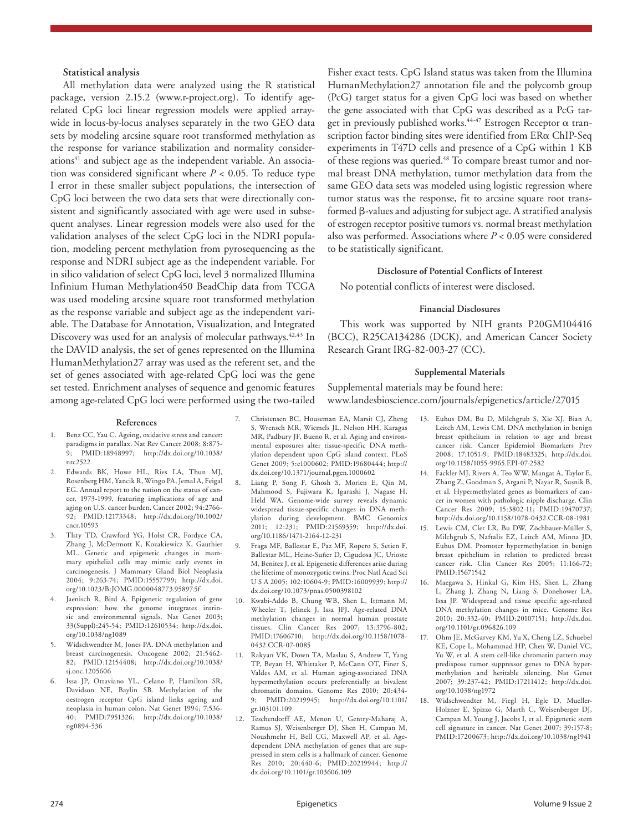## **Statistical analysis**

All methylation data were analyzed using the R statistical package, version 2.15.2 (www.r-project.org). To identify agerelated CpG loci linear regression models were applied arraywide in locus-by-locus analyses separately in the two GEO data sets by modeling arcsine square root transformed methylation as the response for variance stabilization and normality considerations<sup>41</sup> and subject age as the independent variable. An association was considered significant where  $P < 0.05$ . To reduce type I error in these smaller subject populations, the intersection of CpG loci between the two data sets that were directionally consistent and significantly associated with age were used in subsequent analyses. Linear regression models were also used for the validation analyses of the select CpG loci in the NDRI population, modeling percent methylation from pyrosequencing as the response and NDRI subject age as the independent variable. For in silico validation of select CpG loci, level 3 normalized Illumina Infinium Human Methylation450 BeadChip data from TCGA was used modeling arcsine square root transformed methylation as the response variable and subject age as the independent variable. The Database for Annotation, Visualization, and Integrated Discovery was used for an analysis of molecular pathways.<sup>42,43</sup> In the DAVID analysis, the set of genes represented on the Illumina HumanMethylation27 array was used as the referent set, and the set of genes associated with age-related CpG loci was the gene set tested. Enrichment analyses of sequence and genomic features among age-related CpG loci were performed using the two-tailed

Fisher exact tests. CpG Island status was taken from the Illumina HumanMethylation27 annotation file and the polycomb group (PcG) target status for a given CpG loci was based on whether the gene associated with that CpG was described as a PcG target in previously published works.<sup>44-47</sup> Estrogen Receptor  $\alpha$  transcription factor binding sites were identified from ERα ChIP-Seq experiments in T47D cells and presence of a CpG within 1 KB of these regions was queried.<sup>48</sup> To compare breast tumor and normal breast DNA methylation, tumor methylation data from the same GEO data sets was modeled using logistic regression where tumor status was the response, fit to arcsine square root transformed β-values and adjusting for subject age. A stratified analysis of estrogen receptor positive tumors vs. normal breast methylation also was performed. Associations where *P* < 0.05 were considered to be statistically significant.

#### **Disclosure of Potential Conflicts of Interest**

No potential conflicts of interest were disclosed.

### **Financial Disclosures**

This work was supported by NIH grants P20GM104416 (BCC), R25CA134286 (DCK), and American Cancer Society Research Grant IRG-82-003-27 (CC).

#### **Supplemental Materials**

Supplemental materials may be found here: www.landesbioscience.com/journals/epigenetics/article/27015

#### **References**

- 1. Benz CC, Yau C. Ageing, oxidative stress and cancer: paradigms in parallax. Nat Rev Cancer 2008; 8:875- 9; PMID:18948997; http://dx.doi.org/10.1038/ nrc2522
- 2. Edwards BK, Howe HL, Ries LA, Thun MJ, Rosenberg HM, Yancik R, Wingo PA, Jemal A, Feigal EG. Annual report to the nation on the status of cancer, 1973-1999, featuring implications of age and aging on U.S. cancer burden. Cancer 2002; 94:2766- 92; PMID:12173348; http://dx.doi.org/10.1002/ cncr.10593
- 3. Tlsty TD, Crawford YG, Holst CR, Fordyce CA, Zhang J, McDermott K, Kozakiewicz K, Gauthier ML. Genetic and epigenetic changes in mammary epithelial cells may mimic early events in carcinogenesis. J Mammary Gland Biol Neoplasia 2004; 9:263-74; PMID:15557799; http://dx.doi. org/10.1023/B:JOMG.0000048773.95897.5f
- 4. Jaenisch R, Bird A. Epigenetic regulation of gene expression: how the genome integrates intrinsic and environmental signals. Nat Genet 2003; 33(Suppl):245-54; PMID:12610534; http://dx.doi. org/10.1038/ng1089
- 5. Widschwendter M, Jones PA. DNA methylation and breast carcinogenesis. Oncogene 2002; 21:5462- 82; PMID:12154408; http://dx.doi.org/10.1038/ sj.onc.1205606
- 6. Issa JP, Ottaviano YL, Celano P, Hamilton SR, Davidson NE, Baylin SB. Methylation of the oestrogen receptor CpG island links ageing and neoplasia in human colon. Nat Genet 1994; 7:536- 40; PMID:7951326; http://dx.doi.org/10.1038/ ng0894-536
- 7. Christensen BC, Houseman EA, Marsit CJ, Zheng S, Wrensch MR, Wiemels JL, Nelson HH, Karagas MR, Padbury JF, Bueno R, et al. Aging and environmental exposures alter tissue-specific DNA methylation dependent upon CpG island context. PLoS Genet 2009; 5:e1000602; PMID:19680444; http:// dx.doi.org/10.1371/journal.pgen.1000602
- 8. Liang P, Song F, Ghosh S, Morien E, Qin M, Mahmood S, Fujiwara K, Igarashi J, Nagase H, Held WA. Genome-wide survey reveals dynamic widespread tissue-specific changes in DNA methylation during development. BMC Genomics 2011; 12:231; PMID:21569359; http://dx.doi. org/10.1186/1471-2164-12-231
- 9. Fraga MF, Ballestar E, Paz MF, Ropero S, Setien F, Ballestar ML, Heine-Suñer D, Cigudosa JC, Urioste M, Benitez J, et al. Epigenetic differences arise during the lifetime of monozygotic twins. Proc Natl Acad Sci U S A 2005; 102:10604-9; PMID:16009939; http:// dx.doi.org/10.1073/pnas.0500398102
- 10. Kwabi-Addo B, Chung WB, Shen L, Ittmann M, Wheeler T, Jelinek J, Issa JPJ. Age-related DNA methylation changes in normal human prostate tissues. Clin Cancer Res 2007; 13:3796-802; PMID:17606710; http://dx.doi.org/10.1158/1078- 0432.CCR-07-0085
- 11. Rakyan VK, Down TA, Maslau S, Andrew T, Yang TP, Beyan H, Whittaker P, McCann OT, Finer S, Valdes AM, et al. Human aging-associated DNA hypermethylation occurs preferentially at bivalent chromatin domains. Genome Res 2010; 20:434- 9; PMID:20219945; http://dx.doi.org/10.1101/ gr.103101.109
- 12. Teschendorff AE, Menon U, Gentry-Maharaj A, Ramus SJ, Weisenberger DJ, Shen H, Campan M, Noushmehr H, Bell CG, Maxwell AP, et al. Agedependent DNA methylation of genes that are suppressed in stem cells is a hallmark of cancer. Genome Res 2010; 20:440-6; PMID:20219944; http:// dx.doi.org/10.1101/gr.103606.109
- 13. Euhus DM, Bu D, Milchgrub S, Xie XJ, Bian A, Leitch AM, Lewis CM. DNA methylation in benign breast epithelium in relation to age and breast cancer risk. Cancer Epidemiol Biomarkers Prev 2008; 17:1051-9; PMID:18483325; http://dx.doi. org/10.1158/1055-9965.EPI-07-2582
- 14. Fackler MJ, Rivers A, Teo WW, Mangat A, Taylor E, Zhang Z, Goodman S, Argani P, Nayar R, Susnik B, et al. Hypermethylated genes as biomarkers of cancer in women with pathologic nipple discharge. Clin Cancer Res 2009; 15:3802-11; PMID:19470737; http://dx.doi.org/10.1158/1078-0432.CCR-08-1981
- 15. Lewis CM, Cler LR, Bu DW, Zöchbauer-Müller S, Milchgrub S, Naftalis EZ, Leitch AM, Minna JD, Euhus DM. Promoter hypermethylation in benign breast epithelium in relation to predicted breast cancer risk. Clin Cancer Res 2005; 11:166-72; PMID:15671542
- 16. Maegawa S, Hinkal G, Kim HS, Shen L, Zhang L, Zhang J, Zhang N, Liang S, Donehower LA, Issa JP. Widespread and tissue specific age-related DNA methylation changes in mice. Genome Res 2010; 20:332-40; PMID:20107151; http://dx.doi. org/10.1101/gr.096826.109
- 17. Ohm JE, McGarvey KM, Yu X, Cheng LZ, Schuebel KE, Cope L, Mohammad HP, Chen W, Daniel VC, Yu W, et al. A stem cell-like chromatin pattern may predispose tumor suppressor genes to DNA hypermethylation and heritable silencing. Nat Genet 2007; 39:237-42; PMID:17211412; http://dx.doi. org/10.1038/ng1972
- 18. Widschwendter M, Fiegl H, Egle D, Mueller-Holzner E, Spizzo G, Marth C, Weisenberger DJ, Campan M, Young J, Jacobs I, et al. Epigenetic stem cell signature in cancer. Nat Genet 2007; 39:157-8; PMID:17200673; http://dx.doi.org/10.1038/ng1941